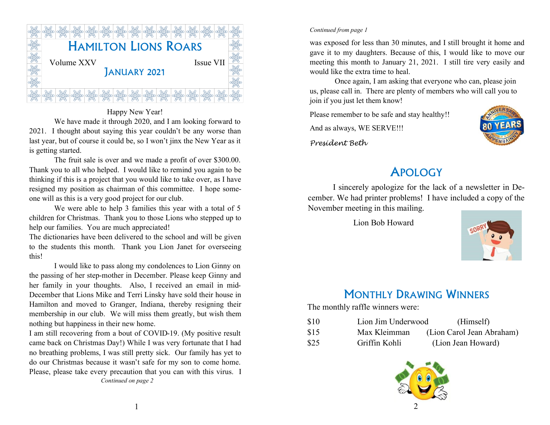

#### Happy New Year!

We have made it through 2020, and I am looking forward to 2021. I thought about saying this year couldn't be any worse than last year, but of course it could be, so I won't jinx the New Year as it is getting started.

The fruit sale is over and we made a profit of over \$300.00. Thank you to all who helped. I would like to remind you again to be thinking if this is a project that you would like to take over, as I have resigned my position as chairman of this committee. I hope someone will as this is a very good project for our club.

We were able to help 3 families this year with a total of 5 children for Christmas. Thank you to those Lions who stepped up to help our families. You are much appreciated!

The dictionaries have been delivered to the school and will be given to the students this month. Thank you Lion Janet for overseeing this!

I would like to pass along my condolences to Lion Ginny on the passing of her step-mother in December. Please keep Ginny and her family in your thoughts. Also, I received an email in mid-December that Lions Mike and Terri Linsky have sold their house in Hamilton and moved to Granger, Indiana, thereby resigning their membership in our club. We will miss them greatly, but wish them nothing but happiness in their new home.

I am still recovering from a bout of COVID-19. (My positive result came back on Christmas Day!) While I was very fortunate that I had no breathing problems, I was still pretty sick. Our family has yet to do our Christmas because it wasn't safe for my son to come home. Please, please take every precaution that you can with this virus. I  *Continued on page 2*

#### *Continued from page 1*

was exposed for less than 30 minutes, and I still brought it home and gave it to my daughters. Because of this, I would like to move our meeting this month to January 21, 2021. I still tire very easily and would like the extra time to heal.

Once again, I am asking that everyone who can, please join us, please call in. There are plenty of members who will call you to join if you just let them know!

Please remember to be safe and stay healthy!!

And as always, WE SERVE!!!



#### *President Beth*

#### APOLOGY

I sincerely apologize for the lack of a newsletter in December. We had printer problems! I have included a copy of the November meeting in this mailing.

Lion Bob Howard



#### MONTHLY DRAWING WINNERS

The monthly raffle winners were:

| \$10 | Lion Jim Underwood | (Himself)                 |
|------|--------------------|---------------------------|
| \$15 | Max Kleimman       | (Lion Carol Jean Abraham) |
| \$25 | Griffin Kohli      | (Lion Jean Howard)        |

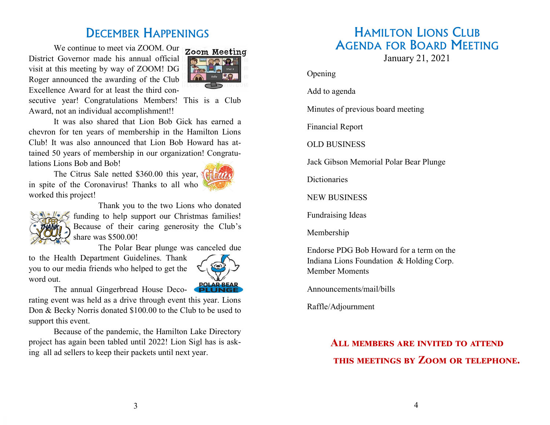## DECEMBER HAPPENINGS

We continue to meet via ZOOM. Our District Governor made his annual official visit at this meeting by way of ZOOM! DG Roger announced the awarding of the Club Excellence Award for at least the third con-



secutive year! Congratulations Members! This is a Club Award, not an individual accomplishment!!

It was also shared that Lion Bob Gick has earned a chevron for ten years of membership in the Hamilton Lions Club! It was also announced that Lion Bob Howard has attained 50 years of membership in our organization! Congratulations Lions Bob and Bob!

The Citrus Sale netted \$360.00 this year, in spite of the Coronavirus! Thanks to all who worked this project!





Thank you to the two Lions who donated  $\mathbb{Z}^*$  funding to help support our Christmas families! Because of their caring generosity the Club's share was \$500.00!

The Polar Bear plunge was canceled due

to the Health Department Guidelines. Thank you to our media friends who helped to get the word out.



The annual Gingerbread House Deco-<br> **PLUNGE** 

rating event was held as a drive through event this year. Lions Don & Becky Norris donated \$100.00 to the Club to be used to support this event.

Because of the pandemic, the Hamilton Lake Directory project has again been tabled until 2022! Lion Sigl has is asking all ad sellers to keep their packets until next year.

## HAMILTON LIONS CLUB AGENDA FOR BOARD MEETING

January 21, 2021

Opening

Add to agenda

Minutes of previous board meeting

Financial Report

OLD BUSINESS

Jack Gibson Memorial Polar Bear Plunge

**Dictionaries** 

NEW BUSINESS

Fundraising Ideas

Membership

Endorse PDG Bob Howard for a term on the Indiana Lions Foundation & Holding Corp. Member Moments

Announcements/mail/bills

Raffle/Adjournment

# **All members are invited to attend this meetings by Zoom or telephone.**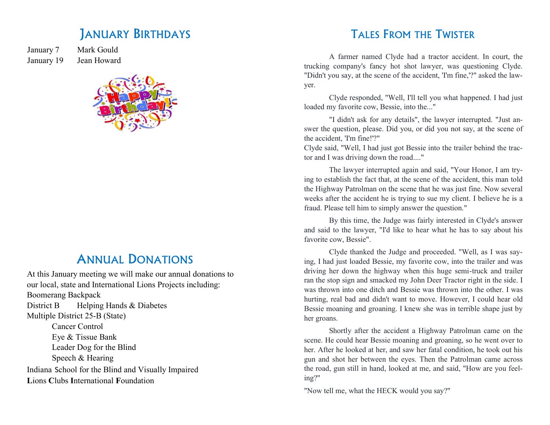January 7 Mark Gould



## ANNUAL DONATIONS

At this January meeting we will make our annual donations to our local, state and International Lions Projects including: Boomerang Backpack District B Helping Hands & Diabetes Multiple District 25-B (State) Cancer Control Eye & Tissue Bank Leader Dog for the Blind Speech & Hearing Indiana School for the Blind and Visually Impaired **L**ions **C**lubs **I**nternational **F**oundation

## **JANUARY BIRTHDAYS** TALES FROM THE TWISTER

January 19 Jean Howard January 19 Jean Howard A farmer named Clyde had a tractor accident. In court, the trucking company's fancy hot shot lawyer, was questioning Clyde. "Didn't you say, at the scene of the accident, 'I'm fine,'?" asked the lawyer.

> Clyde responded, "Well, I'll tell you what happened. I had just loaded my favorite cow, Bessie, into the..."

> "I didn't ask for any details", the lawyer interrupted. "Just answer the question, please. Did you, or did you not say, at the scene of the accident, 'I'm fine!'?"

> Clyde said, "Well, I had just got Bessie into the trailer behind the tractor and I was driving down the road...."

> The lawyer interrupted again and said, "Your Honor, I am trying to establish the fact that, at the scene of the accident, this man told the Highway Patrolman on the scene that he was just fine. Now several weeks after the accident he is trying to sue my client. I believe he is a fraud. Please tell him to simply answer the question."

> By this time, the Judge was fairly interested in Clyde's answer and said to the lawyer, "I'd like to hear what he has to say about his favorite cow, Bessie".

> Clyde thanked the Judge and proceeded. "Well, as I was saying, I had just loaded Bessie, my favorite cow, into the trailer and was driving her down the highway when this huge semi-truck and trailer ran the stop sign and smacked my John Deer Tractor right in the side. I was thrown into one ditch and Bessie was thrown into the other. I was hurting, real bad and didn't want to move. However, I could hear old Bessie moaning and groaning. I knew she was in terrible shape just by her groans.

> Shortly after the accident a Highway Patrolman came on the scene. He could hear Bessie moaning and groaning, so he went over to her. After he looked at her, and saw her fatal condition, he took out his gun and shot her between the eyes. Then the Patrolman came across the road, gun still in hand, looked at me, and said, "How are you feeling?"

"Now tell me, what the HECK would you say?"